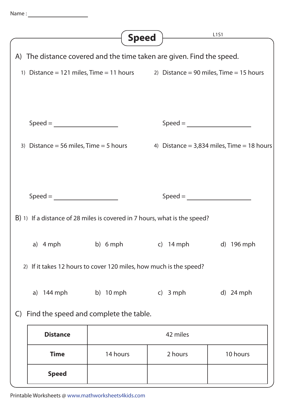|                                                                           | <b>Speed</b>                                                          |                                                                                  | L <sub>151</sub> |  |  |
|---------------------------------------------------------------------------|-----------------------------------------------------------------------|----------------------------------------------------------------------------------|------------------|--|--|
|                                                                           | A) The distance covered and the time taken are given. Find the speed. |                                                                                  |                  |  |  |
|                                                                           |                                                                       | 1) Distance = 121 miles, Time = 11 hours 2) Distance = 90 miles, Time = 15 hours |                  |  |  |
|                                                                           |                                                                       |                                                                                  |                  |  |  |
|                                                                           |                                                                       | $\text{Speed} = \_$                                                              |                  |  |  |
|                                                                           | 3) Distance = 56 miles, $Time = 5$ hours                              | 4) Distance = $3,834$ miles, Time = 18 hours                                     |                  |  |  |
|                                                                           |                                                                       |                                                                                  |                  |  |  |
| $Speed =$                                                                 |                                                                       |                                                                                  |                  |  |  |
| B) 1) If a distance of 28 miles is covered in 7 hours, what is the speed? |                                                                       |                                                                                  |                  |  |  |
| a) 4 mph                                                                  | b) 6 mph c) 14 mph d) 196 mph                                         |                                                                                  |                  |  |  |
| 2) If it takes 12 hours to cover 120 miles, how much is the speed?        |                                                                       |                                                                                  |                  |  |  |
| a) 144 mph                                                                | b) 10 mph                                                             | c) 3 mph                                                                         | d) $24$ mph      |  |  |
| Find the speed and complete the table.<br>$\mathsf{C}$                    |                                                                       |                                                                                  |                  |  |  |
| <b>Distance</b>                                                           | 42 miles                                                              |                                                                                  |                  |  |  |
| <b>Time</b>                                                               | 14 hours                                                              | 2 hours                                                                          | 10 hours         |  |  |
| <b>Speed</b>                                                              |                                                                       |                                                                                  |                  |  |  |

Printable Worksheets @ www.mathworksheets4kids.com

Name :